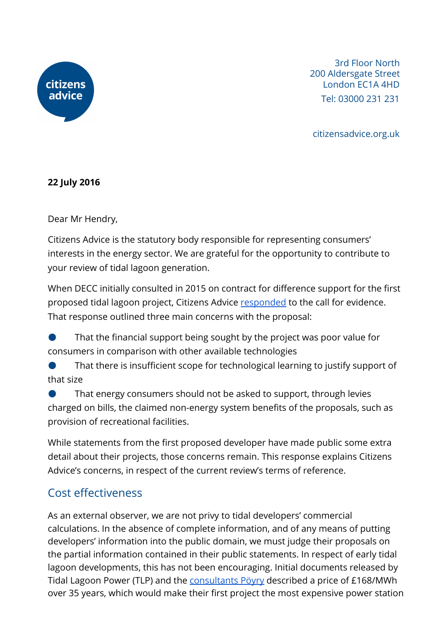

3rd Floor North 200 Aldersgate Street London EC1A 4HD Tel: 03000 231 231

citizensadvice.org.uk

## **22 July 2016**

Dear Mr Hendry,

Citizens Advice is the statutory body responsible for representing consumers' interests in the energy sector. We are grateful for the opportunity to contribute to your review of tidal lagoon generation.

When DECC initially consulted in 2015 on contract for difference support for the first proposed tidal lagoon project, Citizens Advice [responded](https://www.citizensadvice.org.uk/about-us/policy/policy-research-topics/energy-policy-research-and-consultation-responses/energy-consultation-responses/swansea-bay-tidal-lagoon-proposals/) to the call for evidence. That response outlined three main concerns with the proposal:

That the financial support being sought by the project was poor value for consumers in comparison with other available technologies

That there is insufficient scope for technological learning to justify support of that size

That energy consumers should not be asked to support, through levies charged on bills, the claimed non-energy system benefits of the proposals, such as provision of recreational facilities.

While statements from the first proposed developer have made public some extra detail about their projects, those concerns remain. This response explains Citizens Advice's concerns, in respect of the current review's terms of reference.

# Cost effectiveness

As an external observer, we are not privy to tidal developers' commercial calculations. In the absence of complete information, and of any means of putting developers' information into the public domain, we must judge their proposals on the partial information contained in their public statements. In respect of early tidal lagoon developments, this has not been encouraging. Initial documents released by Tidal Lagoon Power (TLP) and the [consultants](http://tidallagoon.opendebate.co.uk/files/TidalLagoon/tidallagoonpower_levelisedcoststudy_v7_0.pdf) Pöyry described a price of £168/MWh over 35 years, which would make their first project the most expensive power station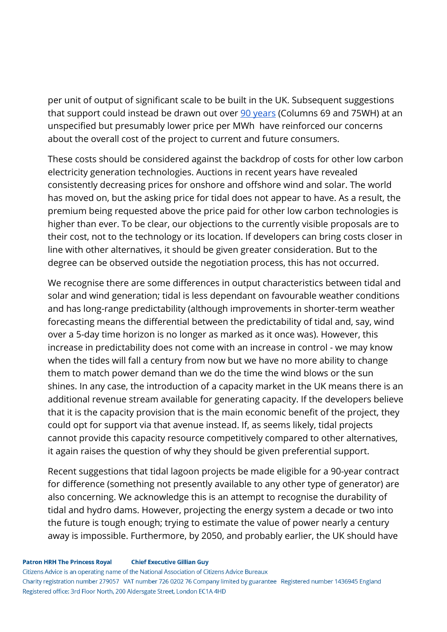per unit of output of significant scale to be built in the UK. Subsequent suggestions that support could instead be drawn out over 90 [years](https://hansard.parliament.uk/Commons/2016-03-08/debates/16030865000001/SwanseaTidalLagoon) (Columns 69 and 75WH) at an unspecified but presumably lower price per MWh have reinforced our concerns about the overall cost of the project to current and future consumers.

These costs should be considered against the backdrop of costs for other low carbon electricity generation technologies. Auctions in recent years have revealed consistently decreasing prices for onshore and offshore wind and solar. The world has moved on, but the asking price for tidal does not appear to have. As a result, the premium being requested above the price paid for other low carbon technologies is higher than ever. To be clear, our objections to the currently visible proposals are to their cost, not to the technology or its location. If developers can bring costs closer in line with other alternatives, it should be given greater consideration. But to the degree can be observed outside the negotiation process, this has not occurred.

We recognise there are some differences in output characteristics between tidal and solar and wind generation; tidal is less dependant on favourable weather conditions and has long-range predictability (although improvements in shorter-term weather forecasting means the differential between the predictability of tidal and, say, wind over a 5-day time horizon is no longer as marked as it once was). However, this increase in predictability does not come with an increase in control - we may know when the tides will fall a century from now but we have no more ability to change them to match power demand than we do the time the wind blows or the sun shines. In any case, the introduction of a capacity market in the UK means there is an additional revenue stream available for generating capacity. If the developers believe that it is the capacity provision that is the main economic benefit of the project, they could opt for support via that avenue instead. If, as seems likely, tidal projects cannot provide this capacity resource competitively compared to other alternatives, it again raises the question of why they should be given preferential support.

Recent suggestions that tidal lagoon projects be made eligible for a 90-year contract for difference (something not presently available to any other type of generator) are also concerning. We acknowledge this is an attempt to recognise the durability of tidal and hydro dams. However, projecting the energy system a decade or two into the future is tough enough; trying to estimate the value of power nearly a century away is impossible. Furthermore, by 2050, and probably earlier, the UK should have

Citizens Advice is an operating name of the National Association of Citizens Advice Bureaux Charity registration number 279057 VAT number 726 0202 76 Company limited by guarantee Registered number 1436945 England Registered office: 3rd Floor North, 200 Aldersgate Street, London EC1A 4HD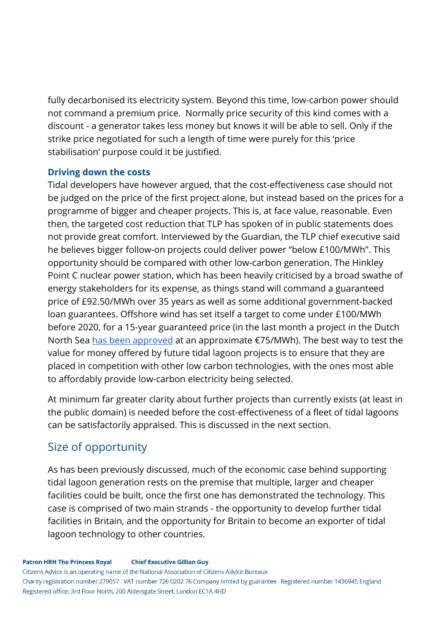fully decarbonised its electricity system. Beyond this time, low-carbon power should not command a premium price. Normally price security of this kind comes with a discount - a generator takes less money but knows it will be able to sell. Only if the strike price negotiated for such a length of time were purely for this 'price stabilisation' purpose could it be justified.

## **Driving down the costs**

Tidal developers have however argued, that the cost-effectiveness case should not be judged on the price of the first project alone, but instead based on the prices for a programme of bigger and cheaper projects. This is, at face value, reasonable. Even then, the targeted cost reduction that TLP has spoken of in public statements does not provide great comfort. Interviewed by the Guardian, the TLP chief executive said he believes bigger follow-on projects could deliver power "below £100/MWh". This opportunity should be compared with other low-carbon generation. The Hinkley Point C nuclear power station, which has been heavily criticised by a broad swathe of energy stakeholders for its expense, as things stand will command a guaranteed price of £92.50/MWh over 35 years as well as some additional government-backed loan guarantees. Offshore wind has set itself a target to come under £100/MWh before 2020, for a 15-year guaranteed price (in the last month a project in the Dutch North Sea has been [approved](http://www.dailymail.co.uk/wires/reuters/article-3675746/Denmarks-DONG-Energy-wins-Dutch-offshore-wind-tender.html) at an approximate  $E$ 75/MWh). The best way to test the value for money offered by future tidal lagoon projects is to ensure that they are placed in competition with other low carbon technologies, with the ones most able to affordably provide low-carbon electricity being selected.

At minimum far greater clarity about further projects than currently exists (at least in the public domain) is needed before the cost-effectiveness of a fleet of tidal lagoons can be satisfactorily appraised. This is discussed in the next section.

# Size of opportunity

As has been previously discussed, much of the economic case behind supporting tidal lagoon generation rests on the premise that multiple, larger and cheaper facilities could be built, once the first one has demonstrated the technology. This case is comprised of two main strands - the opportunity to develop further tidal facilities in Britain, and the opportunity for Britain to become an exporter of tidal lagoon technology to other countries.

Citizens Advice is an operating name of the National Association of Citizens Advice Bureaux Charity registration number 279057 VAT number 726 0202 76 Company limited by guarantee Registered number 1436945 England Registered office: 3rd Floor North, 200 Aldersgate Street, London EC1A 4HD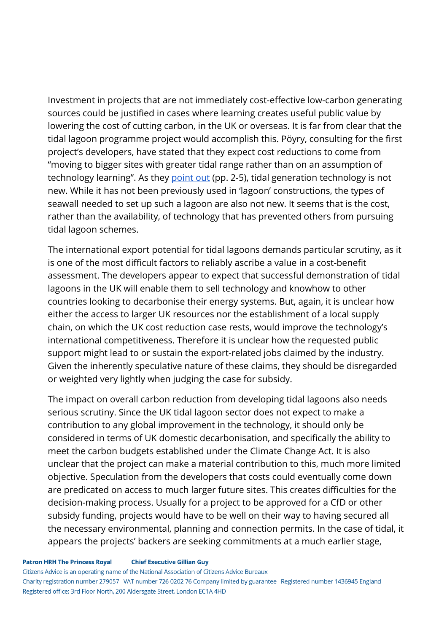Investment in projects that are not immediately cost-effective low-carbon generating sources could be justified in cases where learning creates useful public value by lowering the cost of cutting carbon, in the UK or overseas. It is far from clear that the tidal lagoon programme project would accomplish this. Pöyry, consulting for the first project's developers, have stated that they expect cost reductions to come from "moving to bigger sites with greater tidal range rather than on an assumption of technology learning". As they [point](http://tidallagoon.opendebate.co.uk/files/TidalLagoon/tidallagoonpower_levelisedcoststudy_v7_0.pdf) out (pp. 2-5), tidal generation technology is not new. While it has not been previously used in 'lagoon' constructions, the types of seawall needed to set up such a lagoon are also not new. It seems that is the cost, rather than the availability, of technology that has prevented others from pursuing tidal lagoon schemes.

The international export potential for tidal lagoons demands particular scrutiny, as it is one of the most difficult factors to reliably ascribe a value in a cost-benefit assessment. The developers appear to expect that successful demonstration of tidal lagoons in the UK will enable them to sell technology and knowhow to other countries looking to decarbonise their energy systems. But, again, it is unclear how either the access to larger UK resources nor the establishment of a local supply chain, on which the UK cost reduction case rests, would improve the technology's international competitiveness. Therefore it is unclear how the requested public support might lead to or sustain the export-related jobs claimed by the industry. Given the inherently speculative nature of these claims, they should be disregarded or weighted very lightly when judging the case for subsidy.

The impact on overall carbon reduction from developing tidal lagoons also needs serious scrutiny. Since the UK tidal lagoon sector does not expect to make a contribution to any global improvement in the technology, it should only be considered in terms of UK domestic decarbonisation, and specifically the ability to meet the carbon budgets established under the Climate Change Act. It is also unclear that the project can make a material contribution to this, much more limited objective. Speculation from the developers that costs could eventually come down are predicated on access to much larger future sites. This creates difficulties for the decision-making process. Usually for a project to be approved for a CfD or other subsidy funding, projects would have to be well on their way to having secured all the necessary environmental, planning and connection permits. In the case of tidal, it appears the projects' backers are seeking commitments at a much earlier stage,

#### **Patron HRH The Princess Royal Chief Executive Gillian Guy**

Citizens Advice is an operating name of the National Association of Citizens Advice Bureaux

Charity registration number 279057 VAT number 726 0202 76 Company limited by guarantee Registered number 1436945 England Registered office: 3rd Floor North, 200 Aldersgate Street, London EC1A 4HD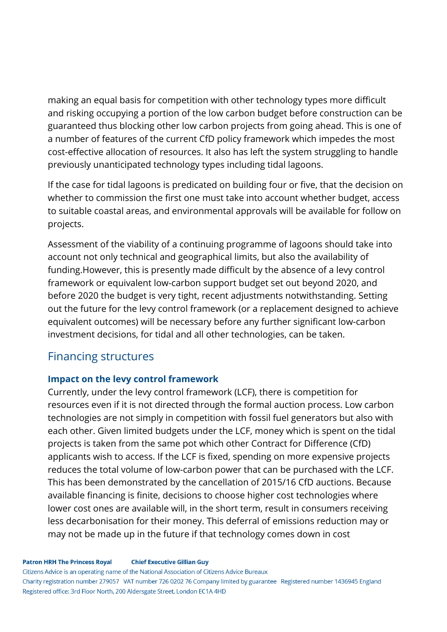making an equal basis for competition with other technology types more difficult and risking occupying a portion of the low carbon budget before construction can be guaranteed thus blocking other low carbon projects from going ahead. This is one of a number of features of the current CfD policy framework which impedes the most cost-effective allocation of resources. It also has left the system struggling to handle previously unanticipated technology types including tidal lagoons.

If the case for tidal lagoons is predicated on building four or five, that the decision on whether to commission the first one must take into account whether budget, access to suitable coastal areas, and environmental approvals will be available for follow on projects.

Assessment of the viability of a continuing programme of lagoons should take into account not only technical and geographical limits, but also the availability of funding.However, this is presently made difficult by the absence of a levy control framework or equivalent low-carbon support budget set out beyond 2020, and before 2020 the budget is very tight, recent adjustments notwithstanding. Setting out the future for the levy control framework (or a replacement designed to achieve equivalent outcomes) will be necessary before any further significant low-carbon investment decisions, for tidal and all other technologies, can be taken.

## Financing structures

## **Impact on the levy control framework**

Currently, under the levy control framework (LCF), there is competition for resources even if it is not directed through the formal auction process. Low carbon technologies are not simply in competition with fossil fuel generators but also with each other. Given limited budgets under the LCF, money which is spent on the tidal projects is taken from the same pot which other Contract for Difference (CfD) applicants wish to access. If the LCF is fixed, spending on more expensive projects reduces the total volume of low-carbon power that can be purchased with the LCF. This has been demonstrated by the cancellation of 2015/16 CfD auctions. Because available financing is finite, decisions to choose higher cost technologies where lower cost ones are available will, in the short term, result in consumers receiving less decarbonisation for their money. This deferral of emissions reduction may or may not be made up in the future if that technology comes down in cost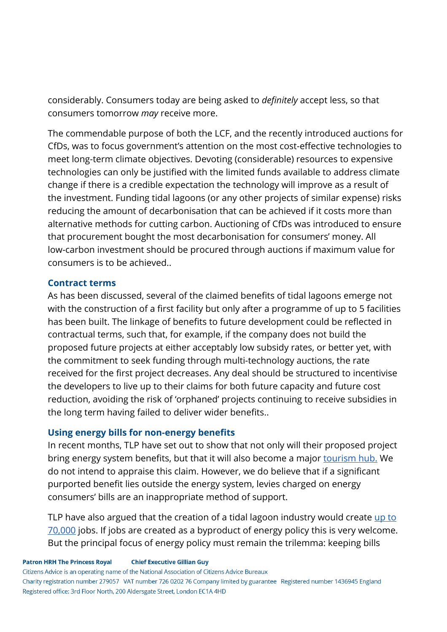considerably. Consumers today are being asked to *definitely* accept less, so that consumers tomorrow *may* receive more.

The commendable purpose of both the LCF, and the recently introduced auctions for CfDs, was to focus government's attention on the most cost-effective technologies to meet long-term climate objectives. Devoting (considerable) resources to expensive technologies can only be justified with the limited funds available to address climate change if there is a credible expectation the technology will improve as a result of the investment. Funding tidal lagoons (or any other projects of similar expense) risks reducing the amount of decarbonisation that can be achieved if it costs more than alternative methods for cutting carbon. Auctioning of CfDs was introduced to ensure that procurement bought the most decarbonisation for consumers' money. All low-carbon investment should be procured through auctions if maximum value for consumers is to be achieved..

### **Contract terms**

As has been discussed, several of the claimed benefits of tidal lagoons emerge not with the construction of a first facility but only after a programme of up to 5 facilities has been built. The linkage of benefits to future development could be reflected in contractual terms, such that, for example, if the company does not build the proposed future projects at either acceptably low subsidy rates, or better yet, with the commitment to seek funding through multi-technology auctions, the rate received for the first project decreases. Any deal should be structured to incentivise the developers to live up to their claims for both future capacity and future cost reduction, avoiding the risk of 'orphaned' projects continuing to receive subsidies in the long term having failed to deliver wider benefits..

## **Using energy bills for non-energy benefits**

In recent months, TLP have set out to show that not only will their proposed project bring energy system benefits, but that it will also become a major [tourism](http://www.southwales-eveningpost.co.uk/tourism-impact-swansea-bay-tidal-lagoon-immense/story-28267709-detail/story.html) hub. We do not intend to appraise this claim. However, we do believe that if a significant purported benefit lies outside the energy system, levies charged on energy consumers' bills are an inappropriate method of support.

TLP have also argued that the creation of a tidal lagoon industry would create [up](https://www.theguardian.com/business/2015/mar/19/tidal-energy-swansea-project-could-lead-to-70000-jobs) to [70,000](https://www.theguardian.com/business/2015/mar/19/tidal-energy-swansea-project-could-lead-to-70000-jobs) jobs. If jobs are created as a byproduct of energy policy this is very welcome. But the principal focus of energy policy must remain the trilemma: keeping bills

**Patron HRH The Princess Royal Chief Executive Gillian Guy** 

Citizens Advice is an operating name of the National Association of Citizens Advice Bureaux

Charity registration number 279057 VAT number 726 0202 76 Company limited by guarantee Registered number 1436945 England Registered office: 3rd Floor North, 200 Aldersgate Street, London EC1A 4HD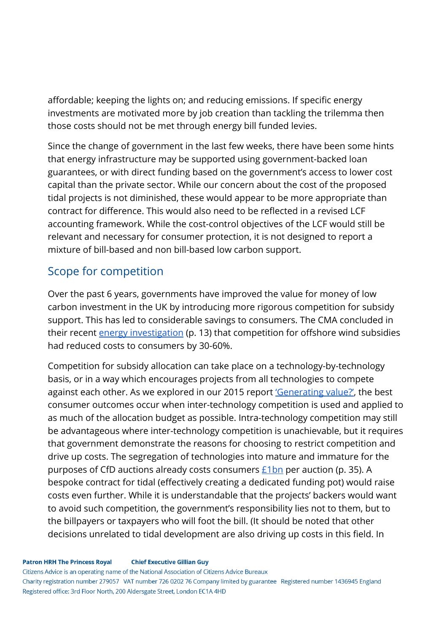affordable; keeping the lights on; and reducing emissions. If specific energy investments are motivated more by job creation than tackling the trilemma then those costs should not be met through energy bill funded levies.

Since the change of government in the last few weeks, there have been some hints that energy infrastructure may be supported using government-backed loan guarantees, or with direct funding based on the government's access to lower cost capital than the private sector. While our concern about the cost of the proposed tidal projects is not diminished, these would appear to be more appropriate than contract for difference. This would also need to be reflected in a revised LCF accounting framework. While the cost-control objectives of the LCF would still be relevant and necessary for consumer protection, it is not designed to report a mixture of bill-based and non bill-based low carbon support.

# Scope for competition

Over the past 6 years, governments have improved the value for money of low carbon investment in the UK by introducing more rigorous competition for subsidy support. This has led to considerable savings to consumers. The CMA concluded in their recent *energy [investigation](https://assets.publishing.service.gov.uk/media/5773de34e5274a0da3000113/final-report-energy-market-investigation.pdf)* (p. 13) that competition for offshore wind subsidies had reduced costs to consumers by 30-60%.

Competition for subsidy allocation can take place on a technology-by-technology basis, or in a way which encourages projects from all technologies to compete against each other. As we explored in our 2015 report ['Generating](https://www.citizensadvice.org.uk/Global/CitizensAdvice/Energy/GeneratingValue.pdf) value?', the best consumer outcomes occur when inter-technology competition is used and applied to as much of the allocation budget as possible. Intra-technology competition may still be advantageous where inter-technology competition is unachievable, but it requires that government demonstrate the reasons for choosing to restrict competition and drive up costs. The segregation of technologies into mature and immature for the purposes of CfD auctions already costs consumers  $E1bn$  per auction (p. 35). A bespoke contract for tidal (effectively creating a dedicated funding pot) would raise costs even further. While it is understandable that the projects' backers would want to avoid such competition, the government's responsibility lies not to them, but to the billpayers or taxpayers who will foot the bill. (It should be noted that other decisions unrelated to tidal development are also driving up costs in this field. In